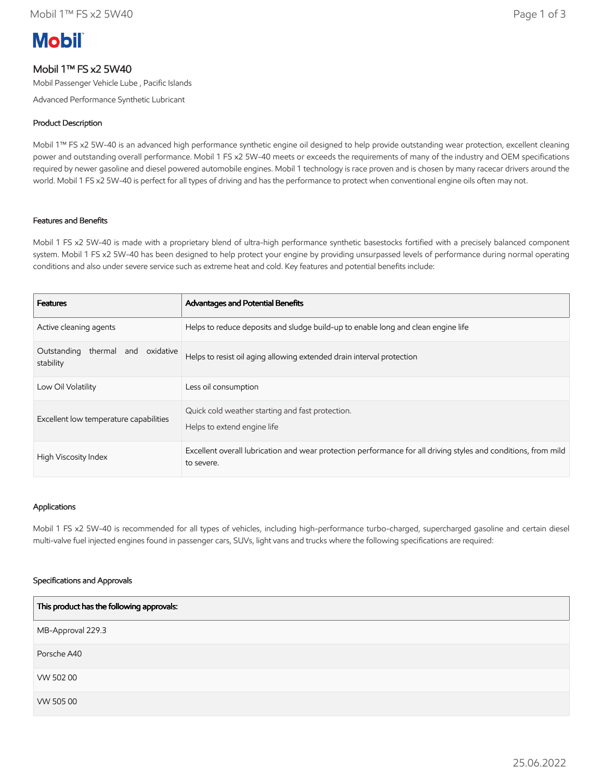# **Mobil**

# Mobil 1™ FS x2 5W40

Mobil Passenger Vehicle Lube , Pacific Islands

Advanced Performance Synthetic Lubricant

# Product Description

Mobil 1™ FS x2 5W-40 is an advanced high performance synthetic engine oil designed to help provide outstanding wear protection, excellent cleaning power and outstanding overall performance. Mobil 1 FS x2 5W-40 meets or exceeds the requirements of many of the industry and OEM specifications required by newer gasoline and diesel powered automobile engines. Mobil 1 technology is race proven and is chosen by many racecar drivers around the world. Mobil 1 FS x2 5W-40 is perfect for all types of driving and has the performance to protect when conventional engine oils often may not.

# Features and Benefits

Mobil 1 FS x2 5W-40 is made with a proprietary blend of ultra-high performance synthetic basestocks fortified with a precisely balanced component system. Mobil 1 FS x2 5W-40 has been designed to help protect your engine by providing unsurpassed levels of performance during normal operating conditions and also under severe service such as extreme heat and cold. Key features and potential benefits include:

| <b>Features</b>                                | Advantages and Potential Benefits                                                                                            |
|------------------------------------------------|------------------------------------------------------------------------------------------------------------------------------|
| Active cleaning agents                         | Helps to reduce deposits and sludge build-up to enable long and clean engine life                                            |
| Outstanding thermal and oxidative<br>stability | Helps to resist oil aging allowing extended drain interval protection                                                        |
| Low Oil Volatility                             | Less oil consumption                                                                                                         |
| Excellent low temperature capabilities         | Quick cold weather starting and fast protection.<br>Helps to extend engine life                                              |
| High Viscosity Index                           | Excellent overall lubrication and wear protection performance for all driving styles and conditions, from mild<br>to severe. |

#### Applications

Mobil 1 FS x2 5W-40 is recommended for all types of vehicles, including high-performance turbo-charged, supercharged gasoline and certain diesel multi-valve fuel injected engines found in passenger cars, SUVs, light vans and trucks where the following specifications are required:

#### Specifications and Approvals

| This product has the following approvals: |
|-------------------------------------------|
| MB-Approval 229.3                         |
| Porsche A40                               |
| VW 502 00                                 |
| VW 505 00                                 |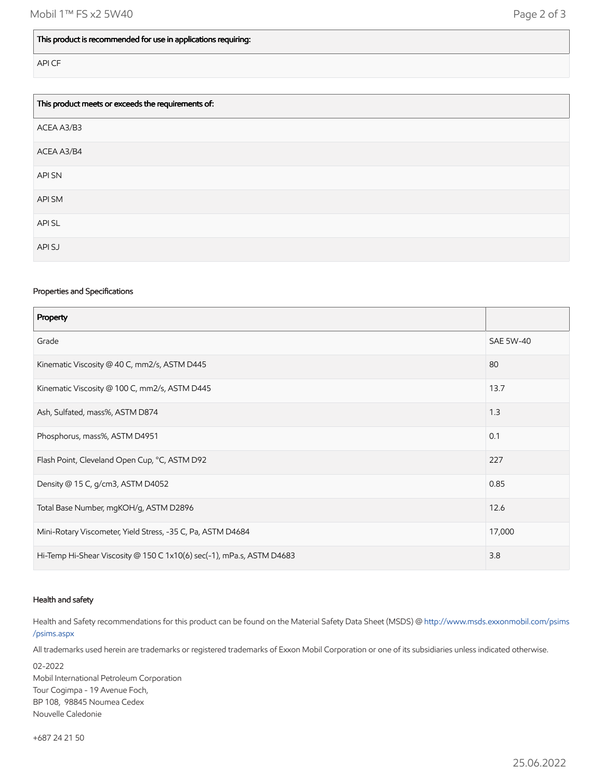#### This product is recommended for use in applications requiring:

API CF

| This product meets or exceeds the requirements of: |  |
|----------------------------------------------------|--|
| ACEA A3/B3                                         |  |
| ACEA A3/B4                                         |  |
| <b>APISN</b>                                       |  |
| API SM                                             |  |
| API SL                                             |  |
| API SJ                                             |  |

# Properties and Specifications

| Property                                                              |                  |
|-----------------------------------------------------------------------|------------------|
| Grade                                                                 | <b>SAE 5W-40</b> |
| Kinematic Viscosity @ 40 C, mm2/s, ASTM D445                          | 80               |
| Kinematic Viscosity @ 100 C, mm2/s, ASTM D445                         | 13.7             |
| Ash, Sulfated, mass%, ASTM D874                                       | 1.3              |
| Phosphorus, mass%, ASTM D4951                                         | 0.1              |
| Flash Point, Cleveland Open Cup, °C, ASTM D92                         | 227              |
| Density @ 15 C, g/cm3, ASTM D4052                                     | 0.85             |
| Total Base Number, mgKOH/g, ASTM D2896                                | 12.6             |
| Mini-Rotary Viscometer, Yield Stress, -35 C, Pa, ASTM D4684           | 17,000           |
| Hi-Temp Hi-Shear Viscosity @ 150 C 1x10(6) sec(-1), mPa.s, ASTM D4683 | 3.8              |

#### Health and safety

Health and Safety recommendations for this product can be found on the Material Safety Data Sheet (MSDS) @ [http://www.msds.exxonmobil.com/psims](http://www.msds.exxonmobil.com/psims/psims.aspx) /psims.aspx

All trademarks used herein are trademarks or registered trademarks of Exxon Mobil Corporation or one of its subsidiaries unless indicated otherwise.

02-2022 Mobil International Petroleum Corporation Tour Cogimpa - 19 Avenue Foch, BP 108, 98845 Noumea Cedex Nouvelle Caledonie

+687 24 21 50